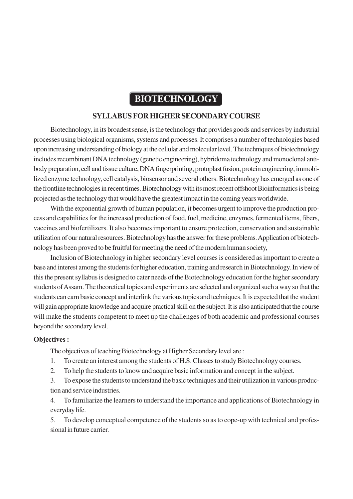## **BIOTECHNOLOGY**

### **SYLLABUS FOR HIGHER SECONDARY COURSE**

Biotechnology, in its broadest sense, is the technology that provides goods and services by industrial processes using biological organisms, systems and processes. It comprises a number of technologies based upon increasing understanding of biology at the cellular and molecular level. The techniques of biotechnology includes recombinant DNA technology (genetic engineering), hybridoma technology and monoclonal antibody preparation, cell and tissue culture, DNA fingerprinting, protoplast fusion, protein engineering, immobilized enzyme technology, cell catalysis, biosensor and several others. Biotechnology has emerged as one of the frontline technologies in recent times. Biotechnology with its most recent offshoot Bioinformatics is being projected as the technology that would have the greatest impact in the coming years worldwide.

With the exponential growth of human population, it becomes urgent to improve the production process and capabilities for the increased production of food, fuel, medicine, enzymes, fermented items, fibers, vaccines and biofertilizers. It also becomes important to ensure protection, conservation and sustainable utilization of our natural resources. Biotechnology has the answer for these problems. Application of biotechnology has been proved to be fruitful for meeting the need of the modern human society,

Inclusion of Biotechnology in higher secondary level courses is considered as important to create a base and interest among the students for higher education, training and research in Biotechnology. In view of this the present syllabus is designed to cater needs of the Biotechnology education for the higher secondary students of Assam. The theoretical topics and experiments are selected and organized such a way so that the students can earn basic concept and interlink the various topics and techniques. It is expected that the student will gain appropriate knowledge and acquire practical skill on the subject. It is also anticipated that the course will make the students competent to meet up the challenges of both academic and professional courses beyond the secondary level.

#### **Objectives :**

The objectives of teaching Biotechnology at Higher Secondary level are :

- 1. To create an interest among the students of H.S. Classes to study Biotechnology courses.
- 2. To help the students to know and acquire basic information and concept in the subject.

3. To expose the students to understand the basic techniques and their utilization in various production and service industries.

4. To familiarize the learners to understand the importance and applications of Biotechnology in everyday life.

5. To develop conceptual competence of the students so as to cope-up with technical and professional in future carrier.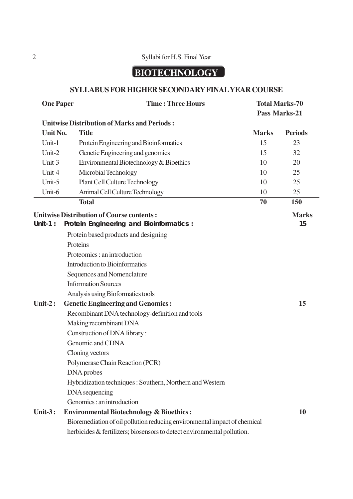### 2 Syllabi for H.S. Final Year

# **BIOTECHNOLOGY**

### **SYLLABUS FOR HIGHER SECONDARY FINAL YEAR COURSE**

| <b>One Paper</b> | <b>Time: Three Hours</b>                                                  | <b>Total Marks-70</b> |                |
|------------------|---------------------------------------------------------------------------|-----------------------|----------------|
|                  |                                                                           |                       | Pass Marks-21  |
|                  | <b>Unitwise Distribution of Marks and Periods:</b>                        |                       |                |
| Unit No.         | <b>Title</b>                                                              | <b>Marks</b>          | <b>Periods</b> |
| Unit-1           | Protein Engineering and Bioinformatics                                    | 15                    | 23             |
| Unit-2           | Genetic Engineering and genomics                                          | 15                    | 32             |
| Unit-3           | Environmental Biotechnology & Bioethics                                   | 10                    | 20             |
| Unit-4           | Microbial Technology                                                      | 10                    | 25             |
| Unit-5           | <b>Plant Cell Culture Technology</b>                                      | 10                    | 25             |
| Unit-6           | Animal Cell Culture Technology                                            | 10                    | 25             |
|                  | <b>Total</b>                                                              | 70                    | 150            |
|                  | <b>Unitwise Distribution of Course contents:</b>                          |                       | <b>Marks</b>   |
| Unit-1:          | Protein Engineering and Bioinformatics :                                  |                       | 15             |
|                  | Protein based products and designing                                      |                       |                |
|                  | Proteins                                                                  |                       |                |
|                  | Proteomics: an introduction                                               |                       |                |
|                  | <b>Introduction to Bioinformatics</b>                                     |                       |                |
|                  | Sequences and Nomenclature                                                |                       |                |
|                  | <b>Information Sources</b>                                                |                       |                |
|                  | Analysis using Bioformatics tools                                         |                       |                |
| Unit- $2:$       | <b>Genetic Engineering and Genomics:</b>                                  |                       | 15             |
|                  | Recombinant DNA technology-definition and tools                           |                       |                |
|                  | Making recombinant DNA                                                    |                       |                |
|                  | Construction of DNA library:                                              |                       |                |
|                  | Genomic and CDNA                                                          |                       |                |
|                  | Cloning vectors                                                           |                       |                |
|                  | Polymerase Chain Reaction (PCR)                                           |                       |                |
|                  | DNA probes                                                                |                       |                |
|                  | Hybridization techniques: Southern, Northern and Western                  |                       |                |
|                  | DNA sequencing                                                            |                       |                |
|                  | Genomics: an introduction                                                 |                       |                |
| <b>Unit-3:</b>   | <b>Environmental Biotechnology &amp; Bioethics:</b>                       |                       | 10             |
|                  | Bioremediation of oil pollution reducing environmental impact of chemical |                       |                |
|                  | herbicides & fertilizers; biosensors to detect environmental pollution.   |                       |                |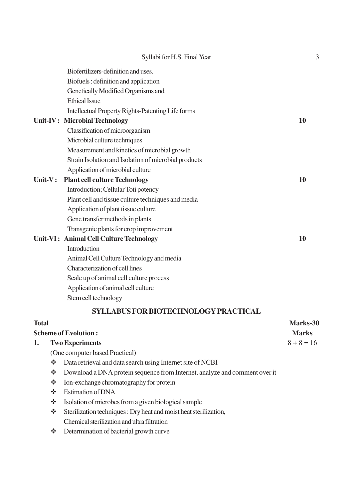|           | Syllabi for H.S. Final Year                          | 3  |
|-----------|------------------------------------------------------|----|
|           | Biofertilizers-definition and uses.                  |    |
|           | Biofuels: definition and application                 |    |
|           | Genetically Modified Organisms and                   |    |
|           | <b>Ethical Issue</b>                                 |    |
|           | Intellectual Property Rights-Patenting Life forms    |    |
|           | <b>Unit-IV: Microbial Technology</b>                 | 10 |
|           | Classification of microorganism                      |    |
|           | Microbial culture techniques                         |    |
|           | Measurement and kinetics of microbial growth         |    |
|           | Strain Isolation and Isolation of microbial products |    |
|           | Application of microbial culture                     |    |
| $Unit-V:$ | <b>Plant cell culture Technology</b>                 | 10 |
|           | Introduction; Cellular Toti potency                  |    |
|           | Plant cell and tissue culture techniques and media   |    |
|           | Application of plant tissue culture                  |    |
|           | Gene transfer methods in plants                      |    |
|           | Transgenic plants for crop improvement               |    |
|           | Unit-VI: Animal Cell Culture Technology              | 10 |
|           | Introduction                                         |    |
|           | Animal Cell Culture Technology and media             |    |
|           | Characterization of cell lines                       |    |
|           | Scale up of animal cell culture process              |    |
|           | Application of animal cell culture                   |    |
|           | Stem cell technology                                 |    |
|           | <b>SYLLABUS FOR BIOTECHNOLOGY PRACTICAL</b>          |    |

### **Total Marks-30 Scheme of Evolution : Marks 1.** Two Experiments  $8 + 8 = 16$ (One computer based Practical) Data retrieval and data search using Internet site of NCBI Download a DNA protein sequence from Internet, analyze and comment over it  $\triangleq$  Ion-exchange chromatography for protein Estimation of DNA Stablished Stablished Stablished Stablished Stablished Stablished Stablished Stablished Stablished Stablished Stablished Stablished Stablished Stablished Stablished Stablished Stablished Stablished Stablished Stablished St Sterilization techniques : Dry heat and moist heat sterilization, Chemical sterilization and ultra filtration

Determination of bacterial growth curve